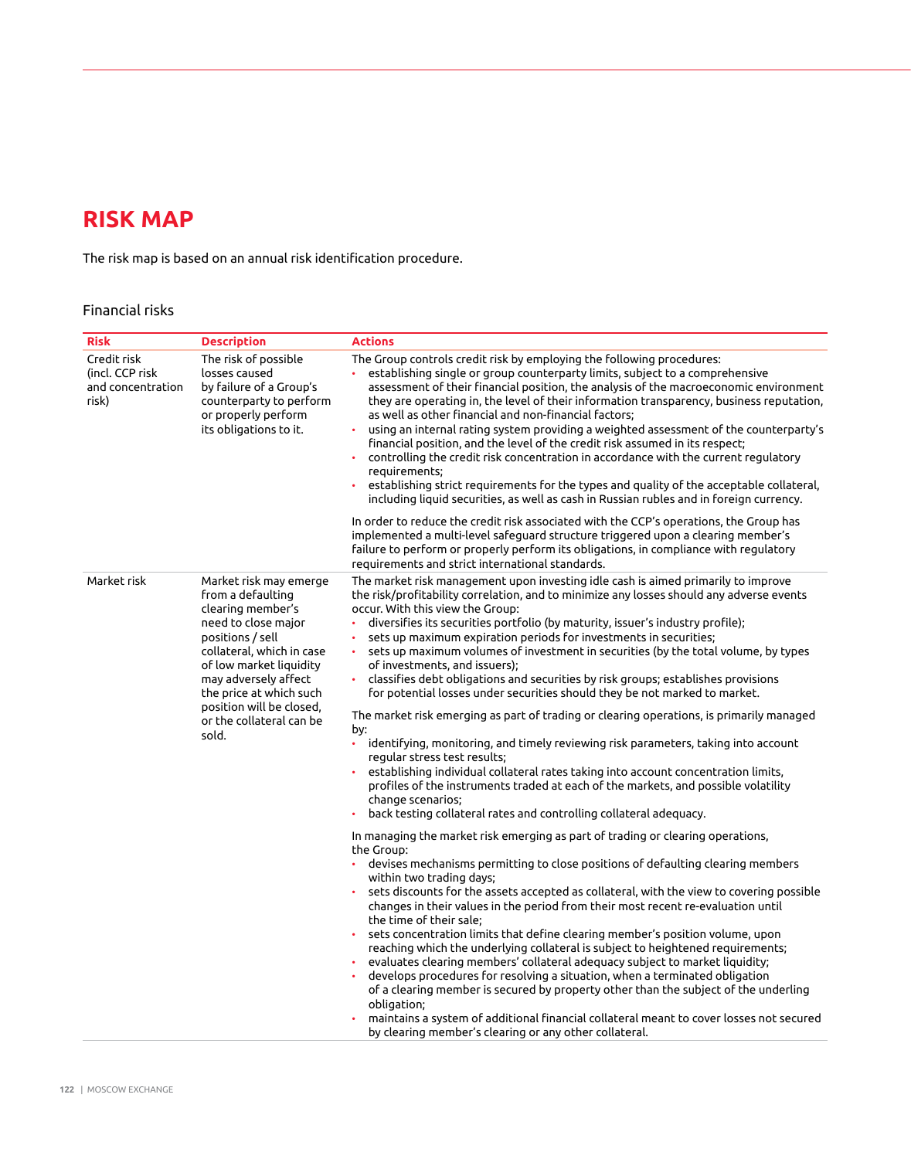## **RISK MAP**

The risk map is based on an annual risk identification procedure.

## Financial risks

| <b>Risk</b>                                                  | <b>Description</b>                                                                                                                                                                                                                                                                      | <b>Actions</b>                                                                                                                                                                                                                                                                                                                                                                                                                                                                                                                                                                                                                                                                                                                                                                                                                                                                                                                                                                                                                                                                                                                                                                                                                                                                                                                                                                   |
|--------------------------------------------------------------|-----------------------------------------------------------------------------------------------------------------------------------------------------------------------------------------------------------------------------------------------------------------------------------------|----------------------------------------------------------------------------------------------------------------------------------------------------------------------------------------------------------------------------------------------------------------------------------------------------------------------------------------------------------------------------------------------------------------------------------------------------------------------------------------------------------------------------------------------------------------------------------------------------------------------------------------------------------------------------------------------------------------------------------------------------------------------------------------------------------------------------------------------------------------------------------------------------------------------------------------------------------------------------------------------------------------------------------------------------------------------------------------------------------------------------------------------------------------------------------------------------------------------------------------------------------------------------------------------------------------------------------------------------------------------------------|
| Credit risk<br>(incl. CCP risk<br>and concentration<br>risk) | The risk of possible<br>losses caused<br>by failure of a Group's<br>counterparty to perform<br>or properly perform<br>its obligations to it.                                                                                                                                            | The Group controls credit risk by employing the following procedures:<br>establishing single or group counterparty limits, subject to a comprehensive<br>assessment of their financial position, the analysis of the macroeconomic environment<br>they are operating in, the level of their information transparency, business reputation,<br>as well as other financial and non-financial factors;<br>using an internal rating system providing a weighted assessment of the counterparty's<br>financial position, and the level of the credit risk assumed in its respect;<br>controlling the credit risk concentration in accordance with the current regulatory<br>$\bullet$<br>requirements;<br>establishing strict requirements for the types and quality of the acceptable collateral,<br>$\bullet$<br>including liquid securities, as well as cash in Russian rubles and in foreign currency.                                                                                                                                                                                                                                                                                                                                                                                                                                                                            |
|                                                              |                                                                                                                                                                                                                                                                                         | In order to reduce the credit risk associated with the CCP's operations, the Group has<br>implemented a multi-level safeguard structure triggered upon a clearing member's<br>failure to perform or properly perform its obligations, in compliance with regulatory<br>requirements and strict international standards.                                                                                                                                                                                                                                                                                                                                                                                                                                                                                                                                                                                                                                                                                                                                                                                                                                                                                                                                                                                                                                                          |
| Market risk                                                  | Market risk may emerge<br>from a defaulting<br>clearing member's<br>need to close major<br>positions / sell<br>collateral, which in case<br>of low market liquidity<br>may adversely affect<br>the price at which such<br>position will be closed,<br>or the collateral can be<br>sold. | The market risk management upon investing idle cash is aimed primarily to improve<br>the risk/profitability correlation, and to minimize any losses should any adverse events<br>occur. With this view the Group:<br>diversifies its securities portfolio (by maturity, issuer's industry profile);<br>sets up maximum expiration periods for investments in securities;<br>sets up maximum volumes of investment in securities (by the total volume, by types<br>of investments, and issuers);<br>classifies debt obligations and securities by risk groups; establishes provisions<br>$\bullet$<br>for potential losses under securities should they be not marked to market.<br>The market risk emerging as part of trading or clearing operations, is primarily managed<br>by:<br>$\bullet$<br>identifying, monitoring, and timely reviewing risk parameters, taking into account<br>regular stress test results;<br>establishing individual collateral rates taking into account concentration limits,<br>profiles of the instruments traded at each of the markets, and possible volatility<br>change scenarios;<br>back testing collateral rates and controlling collateral adequacy.<br>In managing the market risk emerging as part of trading or clearing operations,<br>the Group:<br>devises mechanisms permitting to close positions of defaulting clearing members |
|                                                              |                                                                                                                                                                                                                                                                                         | within two trading days;<br>sets discounts for the assets accepted as collateral, with the view to covering possible<br>changes in their values in the period from their most recent re-evaluation until<br>the time of their sale;<br>sets concentration limits that define clearing member's position volume, upon<br>reaching which the underlying collateral is subject to heightened requirements;<br>evaluates clearing members' collateral adequacy subject to market liquidity;<br>develops procedures for resolving a situation, when a terminated obligation<br>of a clearing member is secured by property other than the subject of the underling<br>obligation;<br>maintains a system of additional financial collateral meant to cover losses not secured<br>by clearing member's clearing or any other collateral.                                                                                                                                                                                                                                                                                                                                                                                                                                                                                                                                                |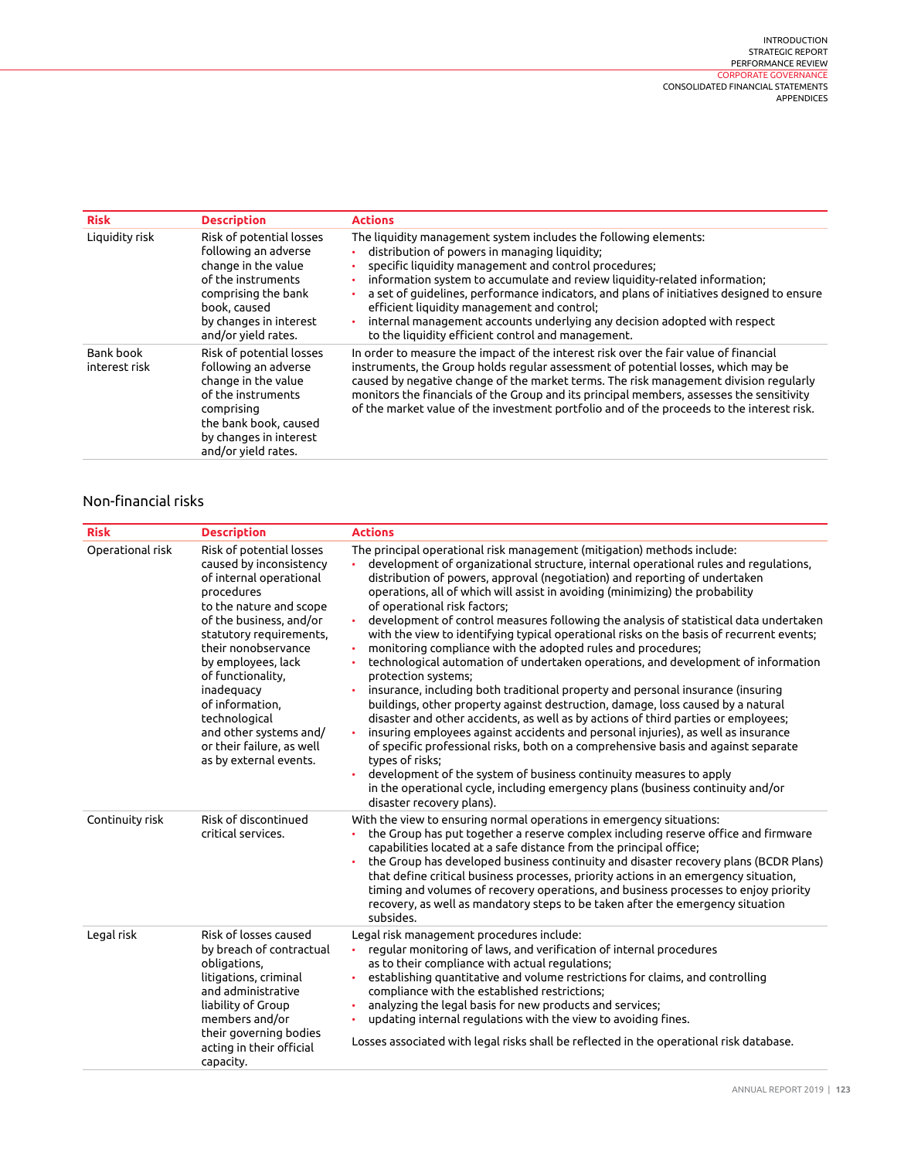| <b>Risk</b>                | <b>Description</b>                                                                                                                                                                    | <b>Actions</b>                                                                                                                                                                                                                                                                                                                                                                                                                                                                                                                         |
|----------------------------|---------------------------------------------------------------------------------------------------------------------------------------------------------------------------------------|----------------------------------------------------------------------------------------------------------------------------------------------------------------------------------------------------------------------------------------------------------------------------------------------------------------------------------------------------------------------------------------------------------------------------------------------------------------------------------------------------------------------------------------|
| Liquidity risk             | Risk of potential losses<br>following an adverse<br>change in the value<br>of the instruments<br>comprising the bank<br>book, caused<br>by changes in interest<br>and/or yield rates. | The liquidity management system includes the following elements:<br>distribution of powers in managing liquidity;<br>specific liquidity management and control procedures;<br>information system to accumulate and review liquidity-related information;<br>a set of guidelines, performance indicators, and plans of initiatives designed to ensure<br>efficient liquidity management and control;<br>internal management accounts underlying any decision adopted with respect<br>to the liquidity efficient control and management. |
| Bank book<br>interest risk | Risk of potential losses<br>following an adverse<br>change in the value<br>of the instruments<br>comprising<br>the bank book, caused<br>by changes in interest<br>and/or yield rates. | In order to measure the impact of the interest risk over the fair value of financial<br>instruments, the Group holds regular assessment of potential losses, which may be<br>caused by negative change of the market terms. The risk management division regularly<br>monitors the financials of the Group and its principal members, assesses the sensitivity<br>of the market value of the investment portfolio and of the proceeds to the interest risk.                                                                            |

## Non-financial risks

| <b>Risk</b>      | <b>Description</b>                                                                                                                                                                                                                                                                                                                                                                 | <b>Actions</b>                                                                                                                                                                                                                                                                                                                                                                                                                                                                                                                                                                                                                                                                                                                                                                                                                                                                                                                                                                                                                                                                                                                                                                                                                                                                                                                                                                               |
|------------------|------------------------------------------------------------------------------------------------------------------------------------------------------------------------------------------------------------------------------------------------------------------------------------------------------------------------------------------------------------------------------------|----------------------------------------------------------------------------------------------------------------------------------------------------------------------------------------------------------------------------------------------------------------------------------------------------------------------------------------------------------------------------------------------------------------------------------------------------------------------------------------------------------------------------------------------------------------------------------------------------------------------------------------------------------------------------------------------------------------------------------------------------------------------------------------------------------------------------------------------------------------------------------------------------------------------------------------------------------------------------------------------------------------------------------------------------------------------------------------------------------------------------------------------------------------------------------------------------------------------------------------------------------------------------------------------------------------------------------------------------------------------------------------------|
| Operational risk | Risk of potential losses<br>caused by inconsistency<br>of internal operational<br>procedures<br>to the nature and scope<br>of the business, and/or<br>statutory requirements,<br>their nonobservance<br>by employees, lack<br>of functionality,<br>inadequacy<br>of information,<br>technological<br>and other systems and/<br>or their failure, as well<br>as by external events. | The principal operational risk management (mitigation) methods include:<br>development of organizational structure, internal operational rules and regulations,<br>distribution of powers, approval (negotiation) and reporting of undertaken<br>operations, all of which will assist in avoiding (minimizing) the probability<br>of operational risk factors;<br>development of control measures following the analysis of statistical data undertaken<br>with the view to identifying typical operational risks on the basis of recurrent events;<br>monitoring compliance with the adopted rules and procedures;<br>$\bullet$<br>technological automation of undertaken operations, and development of information<br>protection systems;<br>insurance, including both traditional property and personal insurance (insuring<br>buildings, other property against destruction, damage, loss caused by a natural<br>disaster and other accidents, as well as by actions of third parties or employees;<br>insuring employees against accidents and personal injuries), as well as insurance<br>of specific professional risks, both on a comprehensive basis and against separate<br>types of risks;<br>development of the system of business continuity measures to apply<br>in the operational cycle, including emergency plans (business continuity and/or<br>disaster recovery plans). |
| Continuity risk  | Risk of discontinued<br>critical services.                                                                                                                                                                                                                                                                                                                                         | With the view to ensuring normal operations in emergency situations:<br>the Group has put together a reserve complex including reserve office and firmware<br>capabilities located at a safe distance from the principal office;<br>the Group has developed business continuity and disaster recovery plans (BCDR Plans)<br>that define critical business processes, priority actions in an emergency situation,<br>timing and volumes of recovery operations, and business processes to enjoy priority<br>recovery, as well as mandatory steps to be taken after the emergency situation<br>subsides.                                                                                                                                                                                                                                                                                                                                                                                                                                                                                                                                                                                                                                                                                                                                                                                       |
| Legal risk       | Risk of losses caused<br>by breach of contractual<br>obligations,<br>litigations, criminal<br>and administrative<br>liability of Group<br>members and/or<br>their governing bodies<br>acting in their official<br>capacity.                                                                                                                                                        | Legal risk management procedures include:<br>regular monitoring of laws, and verification of internal procedures<br>¥.<br>as to their compliance with actual regulations;<br>establishing quantitative and volume restrictions for claims, and controlling<br>compliance with the established restrictions;<br>analyzing the legal basis for new products and services;<br>updating internal regulations with the view to avoiding fines.<br>Losses associated with legal risks shall be reflected in the operational risk database.                                                                                                                                                                                                                                                                                                                                                                                                                                                                                                                                                                                                                                                                                                                                                                                                                                                         |